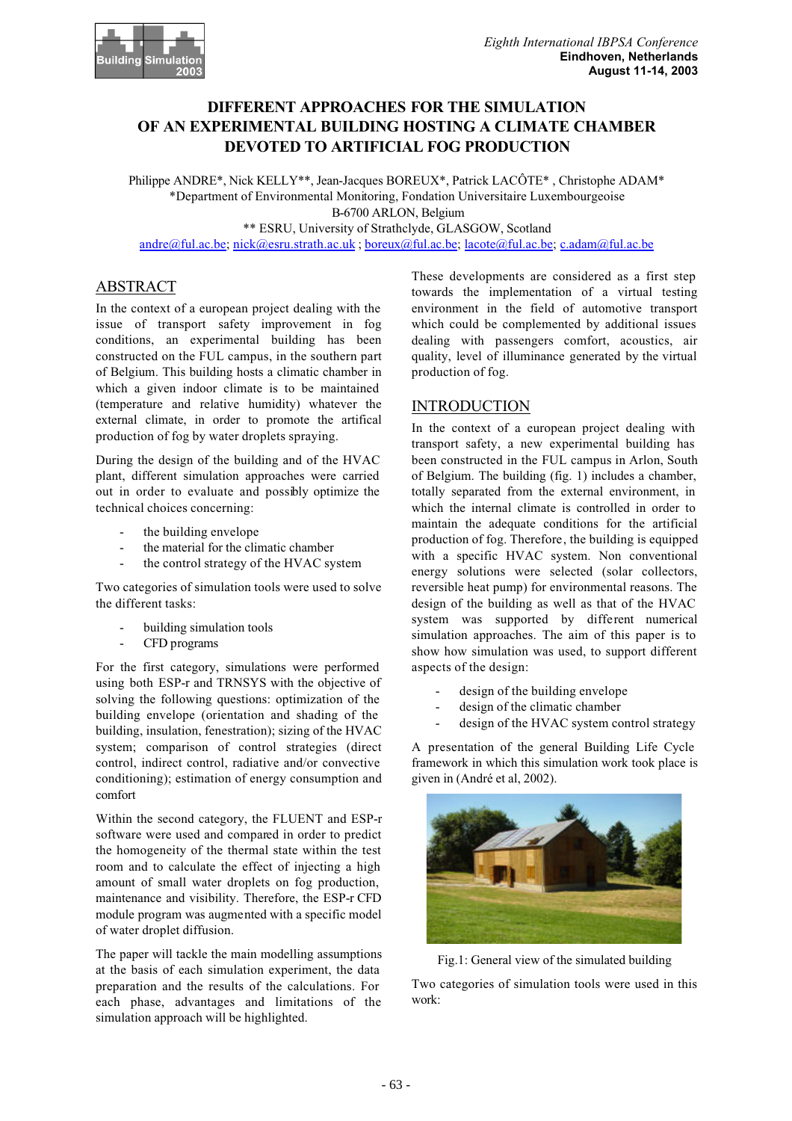

# **DIFFERENT APPROACHES FOR THE SIMULATION OF AN EXPERIMENTAL BUILDING HOSTING A CLIMATE CHAMBER DEVOTED TO ARTIFICIAL FOG PRODUCTION**

Philippe ANDRE\*, Nick KELLY\*\*, Jean-Jacques BOREUX\*, Patrick LACÔTE\* , Christophe ADAM\* \*Department of Environmental Monitoring, Fondation Universitaire Luxembourgeoise B-6700 ARLON, Belgium \*\* ESRU, University of Strathclyde, GLASGOW, Scotland

andre@ful.ac.be; nick@esru.strath.ac.uk ; boreux@ful.ac.be; lacote@ful.ac.be; c.adam@ful.ac.be

# ABSTRACT

In the context of a european project dealing with the issue of transport safety improvement in fog conditions, an experimental building has been constructed on the FUL campus, in the southern part of Belgium. This building hosts a climatic chamber in which a given indoor climate is to be maintained (temperature and relative humidity) whatever the external climate, in order to promote the artifical production of fog by water droplets spraying.

During the design of the building and of the HVAC plant, different simulation approaches were carried out in order to evaluate and possibly optimize the technical choices concerning:

- the building envelope
- the material for the climatic chamber
- the control strategy of the HVAC system

Two categories of simulation tools were used to solve the different tasks:

- building simulation tools
- CFD programs

For the first category, simulations were performed using both ESP-r and TRNSYS with the objective of solving the following questions: optimization of the building envelope (orientation and shading of the building, insulation, fenestration); sizing of the HVAC system; comparison of control strategies (direct control, indirect control, radiative and/or convective conditioning); estimation of energy consumption and comfort

Within the second category, the FLUENT and ESP-r software were used and compared in order to predict the homogeneity of the thermal state within the test room and to calculate the effect of injecting a high amount of small water droplets on fog production, maintenance and visibility. Therefore, the ESP-r CFD module program was augmented with a specific model of water droplet diffusion.

The paper will tackle the main modelling assumptions at the basis of each simulation experiment, the data preparation and the results of the calculations. For each phase, advantages and limitations of the simulation approach will be highlighted.

These developments are considered as a first step towards the implementation of a virtual testing environment in the field of automotive transport which could be complemented by additional issues dealing with passengers comfort, acoustics, air quality, level of illuminance generated by the virtual production of fog.

### **INTRODUCTION**

In the context of a european project dealing with transport safety, a new experimental building has been constructed in the FUL campus in Arlon, South of Belgium. The building (fig. 1) includes a chamber, totally separated from the external environment, in which the internal climate is controlled in order to maintain the adequate conditions for the artificial production of fog. Therefore, the building is equipped with a specific HVAC system. Non conventional energy solutions were selected (solar collectors, reversible heat pump) for environmental reasons. The design of the building as well as that of the HVAC system was supported by different numerical simulation approaches. The aim of this paper is to show how simulation was used, to support different aspects of the design:

- design of the building envelope
- design of the climatic chamber
- design of the HVAC system control strategy

A presentation of the general Building Life Cycle framework in which this simulation work took place is given in (André et al, 2002).





Two categories of simulation tools were used in this work: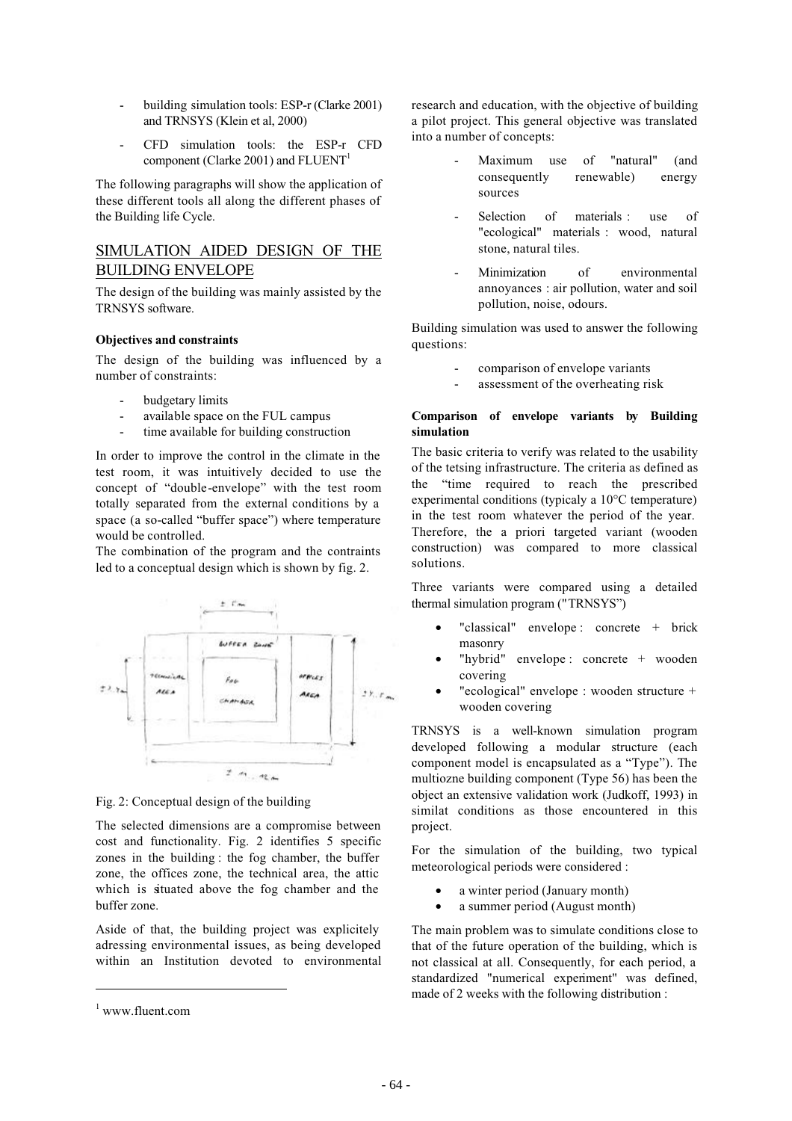- building simulation tools: ESP-r (Clarke 2001) and TRNSYS (Klein et al, 2000)
- CFD simulation tools: the ESP-r CFD component (Clarke 2001) and  $FLUENT<sup>1</sup>$

The following paragraphs will show the application of these different tools all along the different phases of the Building life Cycle.

## SIMULATION AIDED DESIGN OF THE BUILDING ENVELOPE

The design of the building was mainly assisted by the TRNSYS software.

### **Objectives and constraints**

The design of the building was influenced by a number of constraints:

- budgetary limits
- available space on the FUL campus
- time available for building construction

In order to improve the control in the climate in the test room, it was intuitively decided to use the concept of "double-envelope" with the test room totally separated from the external conditions by a space (a so-called "buffer space") where temperature would be controlled.

The combination of the program and the contraints led to a conceptual design which is shown by fig. 2.



Fig. 2: Conceptual design of the building

The selected dimensions are a compromise between cost and functionality. Fig. 2 identifies 5 specific zones in the building : the fog chamber, the buffer zone, the offices zone, the technical area, the attic which is situated above the fog chamber and the buffer zone.

Aside of that, the building project was explicitely adressing environmental issues, as being developed within an Institution devoted to environmental research and education, with the objective of building a pilot project. This general objective was translated into a number of concepts:

- Maximum use of "natural" (and consequently renewable) energy sources
- Selection of materials : use of "ecological" materials : wood, natural stone, natural tiles.
- Minimization of environmental annoyances : air pollution, water and soil pollution, noise, odours.

Building simulation was used to answer the following questions:

- comparison of envelope variants
- assessment of the overheating risk

### **Comparison of envelope variants by Building simulation**

The basic criteria to verify was related to the usability of the tetsing infrastructure. The criteria as defined as the "time required to reach the prescribed experimental conditions (typicaly a 10°C temperature) in the test room whatever the period of the year. Therefore, the a priori targeted variant (wooden construction) was compared to more classical solutions.

Three variants were compared using a detailed thermal simulation program ("TRNSYS")

- "classical" envelope : concrete + brick masonry
- "hybrid" envelope : concrete + wooden covering
- "ecological" envelope : wooden structure + wooden covering

TRNSYS is a well-known simulation program developed following a modular structure (each component model is encapsulated as a "Type"). The multiozne building component (Type 56) has been the object an extensive validation work (Judkoff, 1993) in similat conditions as those encountered in this project.

For the simulation of the building, two typical meteorological periods were considered :

- a winter period (January month)
- a summer period (August month)

The main problem was to simulate conditions close to that of the future operation of the building, which is not classical at all. Consequently, for each period, a standardized "numerical experiment" was defined, made of 2 weeks with the following distribution :

<sup>1</sup> www.fluent.com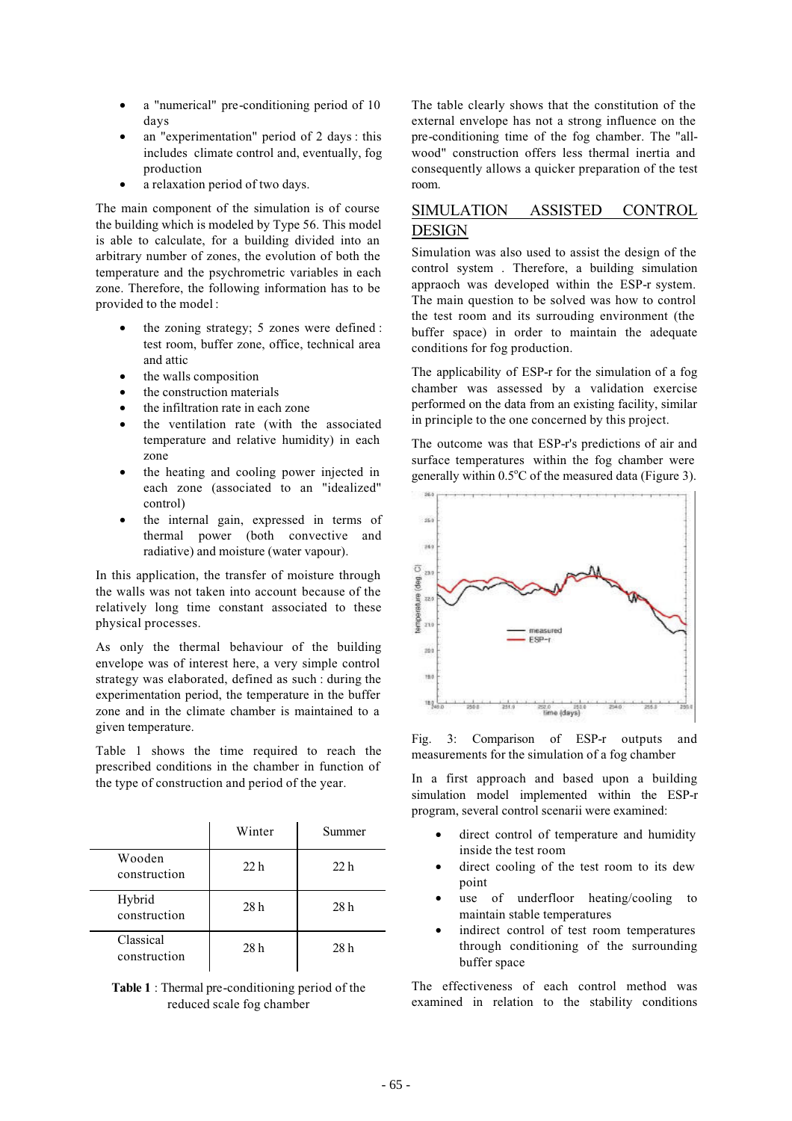- a "numerical" pre-conditioning period of 10 days
- an "experimentation" period of 2 days : this includes climate control and, eventually, fog production
- a relaxation period of two days.

The main component of the simulation is of course the building which is modeled by Type 56. This model is able to calculate, for a building divided into an arbitrary number of zones, the evolution of both the temperature and the psychrometric variables in each zone. Therefore, the following information has to be provided to the model :

- the zoning strategy; 5 zones were defined : test room, buffer zone, office, technical area and attic
- the walls composition
- the construction materials
- the infiltration rate in each zone
- the ventilation rate (with the associated temperature and relative humidity) in each zone
- the heating and cooling power injected in each zone (associated to an "idealized" control)
- the internal gain, expressed in terms of thermal power (both convective and radiative) and moisture (water vapour).

In this application, the transfer of moisture through the walls was not taken into account because of the relatively long time constant associated to these physical processes.

As only the thermal behaviour of the building envelope was of interest here, a very simple control strategy was elaborated, defined as such : during the experimentation period, the temperature in the buffer zone and in the climate chamber is maintained to a given temperature.

Table 1 shows the time required to reach the prescribed conditions in the chamber in function of the type of construction and period of the year.

|                           | Winter          | Summer          |
|---------------------------|-----------------|-----------------|
| Wooden<br>construction    | 22 <sub>h</sub> | 22 <sub>h</sub> |
| Hybrid<br>construction    | 28 h            | 28 <sub>h</sub> |
| Classical<br>construction | 28h             | 28h             |

**Table 1** : Thermal pre-conditioning period of the reduced scale fog chamber

The table clearly shows that the constitution of the external envelope has not a strong influence on the pre-conditioning time of the fog chamber. The "allwood" construction offers less thermal inertia and consequently allows a quicker preparation of the test room.

# SIMULATION ASSISTED CONTROL **DESIGN**

Simulation was also used to assist the design of the control system . Therefore, a building simulation appraoch was developed within the ESP-r system. The main question to be solved was how to control the test room and its surrouding environment (the buffer space) in order to maintain the adequate conditions for fog production.

The applicability of ESP-r for the simulation of a fog chamber was assessed by a validation exercise performed on the data from an existing facility, similar in principle to the one concerned by this project.

The outcome was that ESP-r's predictions of air and surface temperatures within the fog chamber were generally within  $0.5^{\circ}$ C of the measured data (Figure 3).



Fig. 3: Comparison of ESP-r outputs and measurements for the simulation of a fog chamber

In a first approach and based upon a building simulation model implemented within the ESP-r program, several control scenarii were examined:

- direct control of temperature and humidity inside the test room
- direct cooling of the test room to its dew point
- use of underfloor heating/cooling to maintain stable temperatures
- indirect control of test room temperatures through conditioning of the surrounding buffer space

The effectiveness of each control method was examined in relation to the stability conditions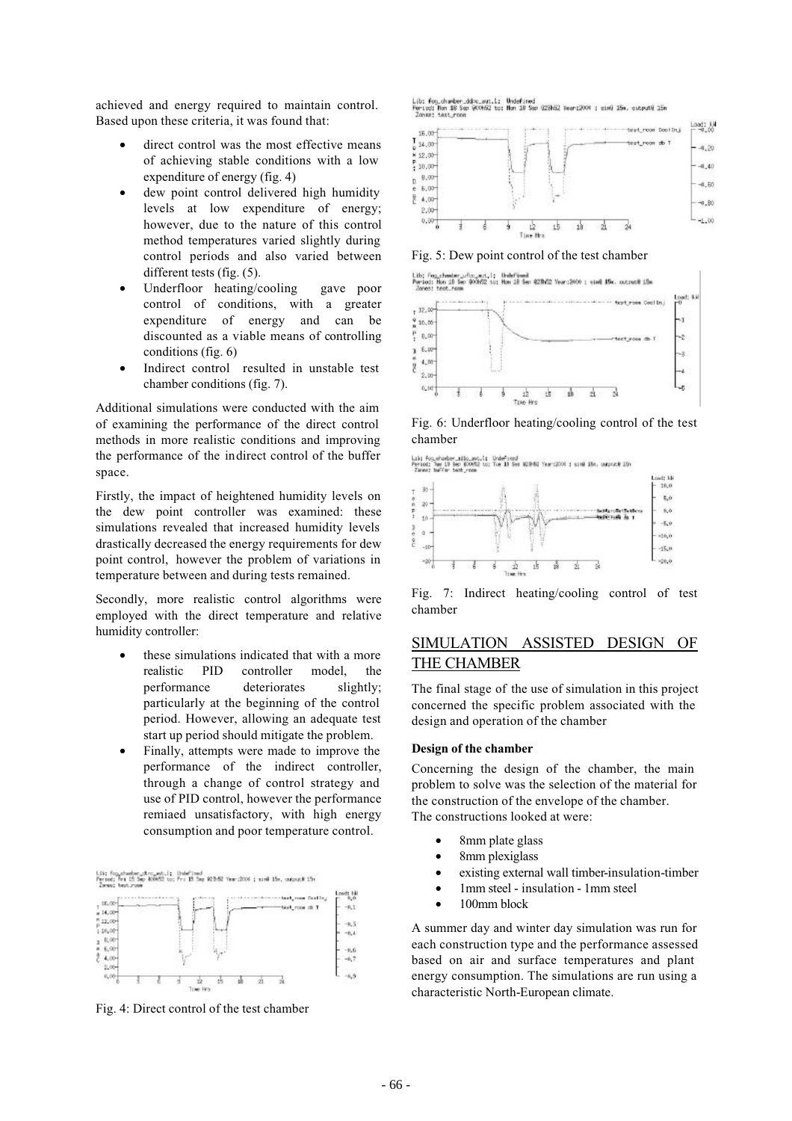achieved and energy required to maintain control. Based upon these criteria, it was found that:

- direct control was the most effective means of achieving stable conditions with a low expenditure of energy (fig. 4)
- dew point control delivered high humidity levels at low expenditure of energy; however, due to the nature of this control method temperatures varied slightly during control periods and also varied between different tests (fig. (5).
- Underfloor heating/cooling gave poor control of conditions, with a greater expenditure of energy and can be discounted as a viable means of controlling conditions (fig. 6)
- Indirect control resulted in unstable test chamber conditions (fig. 7).

Additional simulations were conducted with the aim of examining the performance of the direct control methods in more realistic conditions and improving the performance of the indirect control of the buffer space.

Firstly, the impact of heightened humidity levels on the dew point controller was examined: these simulations revealed that increased humidity levels drastically decreased the energy requirements for dew point control, however the problem of variations in temperature between and during tests remained.

Secondly, more realistic control algorithms were employed with the direct temperature and relative humidity controller:

- these simulations indicated that with a more realistic PID controller model, the performance deteriorates slightly; particularly at the beginning of the control period. However, allowing an adequate test start up period should mitigate the problem.
- Finally, attempts were made to improve the performance of the indirect controller, through a change of control strategy and use of PID control, however the performance remiaed unsatisfactory, with high energy consumption and poor temperature control.

Lib; fog\_chasber\_d<br>Feriod; Fri 15 Sep<br>Zwent best room ad<br>See \$25.62 Year: 2006 classed 15s, current 15s



Fig. 4: Direct control of the test chamber

Lib: Fog.chamber\_ddpc\_aut.l: Undefined<br>Period: Non 18 Sep 900652 to: Non 18 Sep<br>-Zones: test room 025062 Neart2004 : sim0 15m, output@ 15m



Fig. 5: Dew point control of the test chamber



Fig. 6: Underfloor heating/cooling control of the test chamber





Fig. 7: Indirect heating/cooling control of test chamber

# SIMULATION ASSISTED DESIGN OF THE CHAMBER

The final stage of the use of simulation in this project concerned the specific problem associated with the design and operation of the chamber

#### **Design of the chamber**

Concerning the design of the chamber, the main problem to solve was the selection of the material for the construction of the envelope of the chamber. The constructions looked at were:

- 8mm plate glass
- 8mm plexiglass
- existing external wall timber-insulation-timber
- 1mm steel insulation 1mm steel
- 100mm block

A summer day and winter day simulation was run for each construction type and the performance assessed based on air and surface temperatures and plant energy consumption. The simulations are run using a characteristic North-European climate.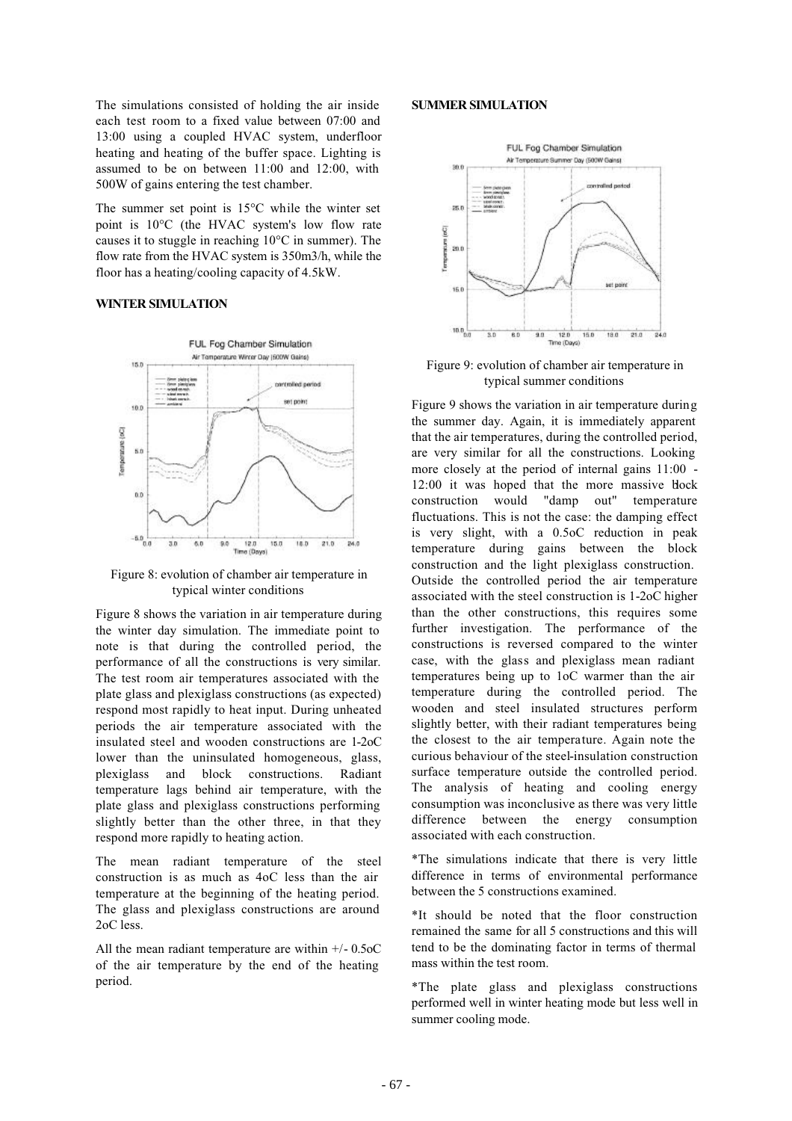The simulations consisted of holding the air inside each test room to a fixed value between 07:00 and 13:00 using a coupled HVAC system, underfloor heating and heating of the buffer space. Lighting is assumed to be on between 11:00 and 12:00, with 500W of gains entering the test chamber.

The summer set point is 15°C while the winter set point is 10°C (the HVAC system's low flow rate causes it to stuggle in reaching 10°C in summer). The flow rate from the HVAC system is 350m3/h, while the floor has a heating/cooling capacity of 4.5kW.

#### **WINTER SIMULATION**



Figure 8: evolution of chamber air temperature in typical winter conditions

Figure 8 shows the variation in air temperature during the winter day simulation. The immediate point to note is that during the controlled period, the performance of all the constructions is very similar. The test room air temperatures associated with the plate glass and plexiglass constructions (as expected) respond most rapidly to heat input. During unheated periods the air temperature associated with the insulated steel and wooden constructions are 1-2oC lower than the uninsulated homogeneous, glass, plexiglass and block constructions. Radiant temperature lags behind air temperature, with the plate glass and plexiglass constructions performing slightly better than the other three, in that they respond more rapidly to heating action.

The mean radiant temperature of the steel construction is as much as 4oC less than the air temperature at the beginning of the heating period. The glass and plexiglass constructions are around 2oC less.

All the mean radiant temperature are within +/- 0.5oC of the air temperature by the end of the heating period.

#### **SUMMER SIMULATION**



Figure 9: evolution of chamber air temperature in typical summer conditions

Figure 9 shows the variation in air temperature during the summer day. Again, it is immediately apparent that the air temperatures, during the controlled period, are very similar for all the constructions. Looking more closely at the period of internal gains 11:00 - 12:00 it was hoped that the more massive block construction would "damp out" temperature fluctuations. This is not the case: the damping effect is very slight, with a 0.5oC reduction in peak temperature during gains between the block construction and the light plexiglass construction. Outside the controlled period the air temperature associated with the steel construction is 1-2oC higher than the other constructions, this requires some further investigation. The performance of the constructions is reversed compared to the winter case, with the glass and plexiglass mean radiant temperatures being up to 1oC warmer than the air temperature during the controlled period. The wooden and steel insulated structures perform slightly better, with their radiant temperatures being the closest to the air temperature. Again note the curious behaviour of the steel-insulation construction surface temperature outside the controlled period. The analysis of heating and cooling energy consumption was inconclusive as there was very little difference between the energy consumption associated with each construction.

\*The simulations indicate that there is very little difference in terms of environmental performance between the 5 constructions examined.

\*It should be noted that the floor construction remained the same for all 5 constructions and this will tend to be the dominating factor in terms of thermal mass within the test room.

\*The plate glass and plexiglass constructions performed well in winter heating mode but less well in summer cooling mode.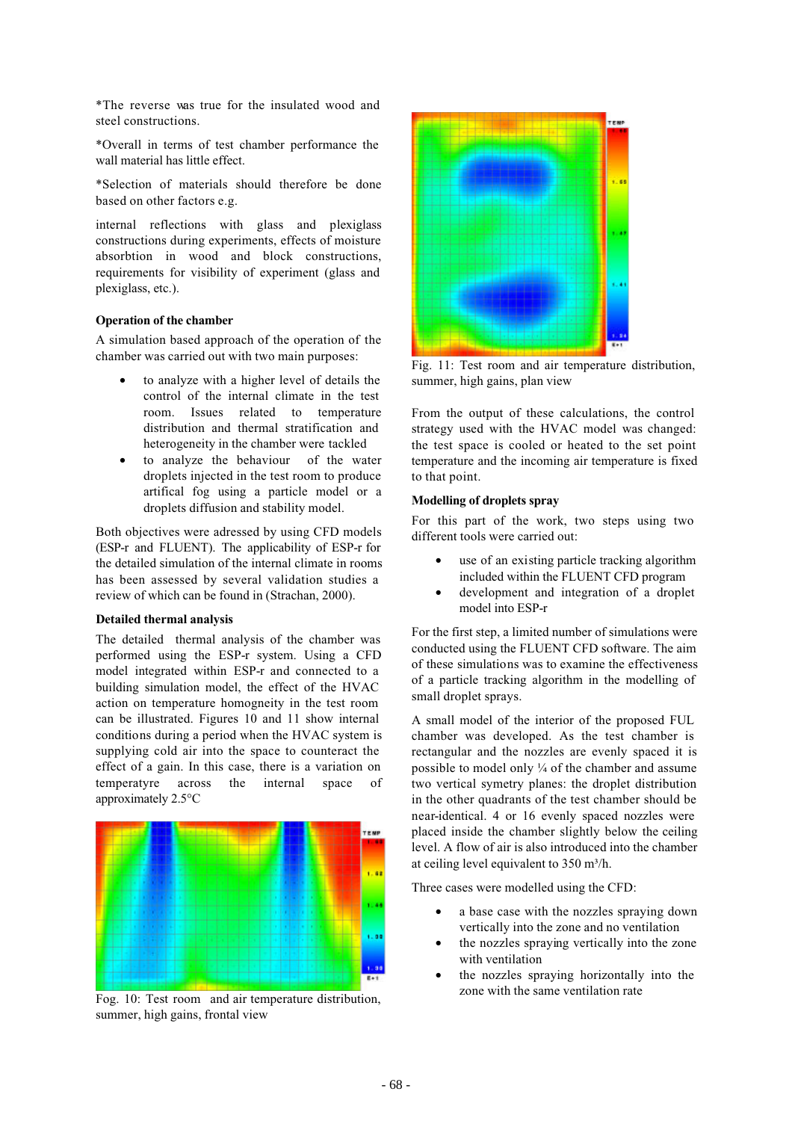\*The reverse was true for the insulated wood and steel constructions.

\*Overall in terms of test chamber performance the wall material has little effect.

\*Selection of materials should therefore be done based on other factors e.g.

internal reflections with glass and plexiglass constructions during experiments, effects of moisture absorbtion in wood and block constructions, requirements for visibility of experiment (glass and plexiglass, etc.).

#### **Operation of the chamber**

A simulation based approach of the operation of the chamber was carried out with two main purposes:

- to analyze with a higher level of details the control of the internal climate in the test room. Issues related to temperature distribution and thermal stratification and heterogeneity in the chamber were tackled
- to analyze the behaviour of the water droplets injected in the test room to produce artifical fog using a particle model or a droplets diffusion and stability model.

Both objectives were adressed by using CFD models (ESP-r and FLUENT). The applicability of ESP-r for the detailed simulation of the internal climate in rooms has been assessed by several validation studies a review of which can be found in (Strachan, 2000).

#### **Detailed thermal analysis**

The detailed thermal analysis of the chamber was performed using the ESP-r system. Using a CFD model integrated within ESP-r and connected to a building simulation model, the effect of the HVAC action on temperature homogneity in the test room can be illustrated. Figures 10 and 11 show internal conditions during a period when the HVAC system is supplying cold air into the space to counteract the effect of a gain. In this case, there is a variation on temperatyre across the internal space of approximately 2.5°C



Fog. 10: Test room and air temperature distribution, summer, high gains, frontal view



Fig. 11: Test room and air temperature distribution, summer, high gains, plan view

From the output of these calculations, the control strategy used with the HVAC model was changed: the test space is cooled or heated to the set point temperature and the incoming air temperature is fixed to that point.

### **Modelling of droplets spray**

For this part of the work, two steps using two different tools were carried out:

- use of an existing particle tracking algorithm included within the FLUENT CFD program
- development and integration of a droplet model into ESP-r

For the first step, a limited number of simulations were conducted using the FLUENT CFD software. The aim of these simulations was to examine the effectiveness of a particle tracking algorithm in the modelling of small droplet sprays.

A small model of the interior of the proposed FUL chamber was developed. As the test chamber is rectangular and the nozzles are evenly spaced it is possible to model only ¼ of the chamber and assume two vertical symetry planes: the droplet distribution in the other quadrants of the test chamber should be near-identical. 4 or 16 evenly spaced nozzles were placed inside the chamber slightly below the ceiling level. A flow of air is also introduced into the chamber at ceiling level equivalent to  $350 \text{ m}^3/\text{h}$ .

Three cases were modelled using the CFD:

- a base case with the nozzles spraying down vertically into the zone and no ventilation
- the nozzles spraying vertically into the zone with ventilation
- the nozzles spraying horizontally into the zone with the same ventilation rate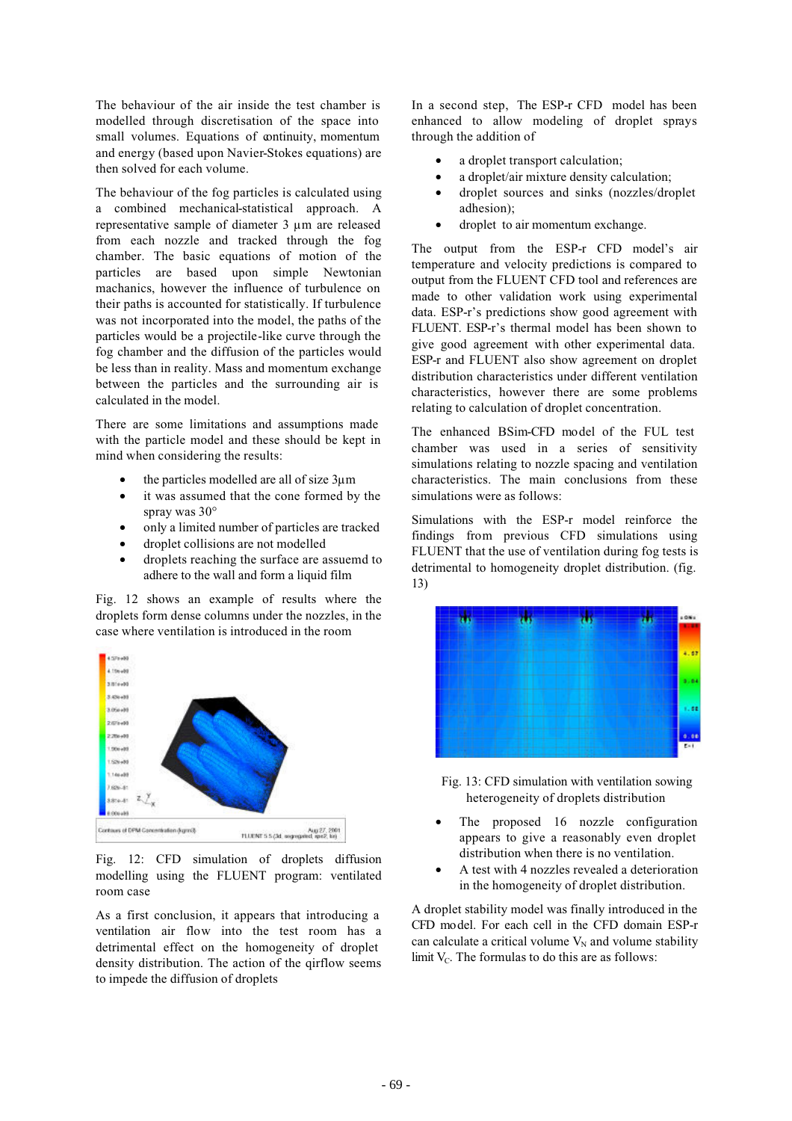The behaviour of the air inside the test chamber is modelled through discretisation of the space into small volumes. Equations of continuity, momentum and energy (based upon Navier-Stokes equations) are then solved for each volume.

The behaviour of the fog particles is calculated using a combined mechanical-statistical approach. A representative sample of diameter 3 µm are released from each nozzle and tracked through the fog chamber. The basic equations of motion of the particles are based upon simple Newtonian machanics, however the influence of turbulence on their paths is accounted for statistically. If turbulence was not incorporated into the model, the paths of the particles would be a projectile-like curve through the fog chamber and the diffusion of the particles would be less than in reality. Mass and momentum exchange between the particles and the surrounding air is calculated in the model.

There are some limitations and assumptions made with the particle model and these should be kept in mind when considering the results:

- the particles modelled are all of size 3µm
- it was assumed that the cone formed by the spray was 30°
- only a limited number of particles are tracked
- droplet collisions are not modelled
- droplets reaching the surface are assuemd to adhere to the wall and form a liquid film

Fig. 12 shows an example of results where the droplets form dense columns under the nozzles, in the case where ventilation is introduced in the room



Fig. 12: CFD simulation of droplets diffusion modelling using the FLUENT program: ventilated room case

As a first conclusion, it appears that introducing a ventilation air flow into the test room has a detrimental effect on the homogeneity of droplet density distribution. The action of the qirflow seems to impede the diffusion of droplets

In a second step, The ESP-r CFD model has been enhanced to allow modeling of droplet sprays through the addition of

- a droplet transport calculation:
- a droplet/air mixture density calculation;
- droplet sources and sinks (nozzles/droplet adhesion);
- droplet to air momentum exchange.

The output from the ESP-r CFD model's air temperature and velocity predictions is compared to output from the FLUENT CFD tool and references are made to other validation work using experimental data. ESP-r's predictions show good agreement with FLUENT. ESP-r's thermal model has been shown to give good agreement with other experimental data. ESP-r and FLUENT also show agreement on droplet distribution characteristics under different ventilation characteristics, however there are some problems relating to calculation of droplet concentration.

The enhanced BSim-CFD model of the FUL test chamber was used in a series of sensitivity simulations relating to nozzle spacing and ventilation characteristics. The main conclusions from these simulations were as follows:

Simulations with the ESP-r model reinforce the findings from previous CFD simulations using FLUENT that the use of ventilation during fog tests is detrimental to homogeneity droplet distribution. (fig. 13)



Fig. 13: CFD simulation with ventilation sowing heterogeneity of droplets distribution

- The proposed 16 nozzle configuration appears to give a reasonably even droplet distribution when there is no ventilation.
- A test with 4 nozzles revealed a deterioration in the homogeneity of droplet distribution.

A droplet stability model was finally introduced in the CFD model. For each cell in the CFD domain ESP-r can calculate a critical volume  $V_N$  and volume stability limit  $V_c$ . The formulas to do this are as follows: